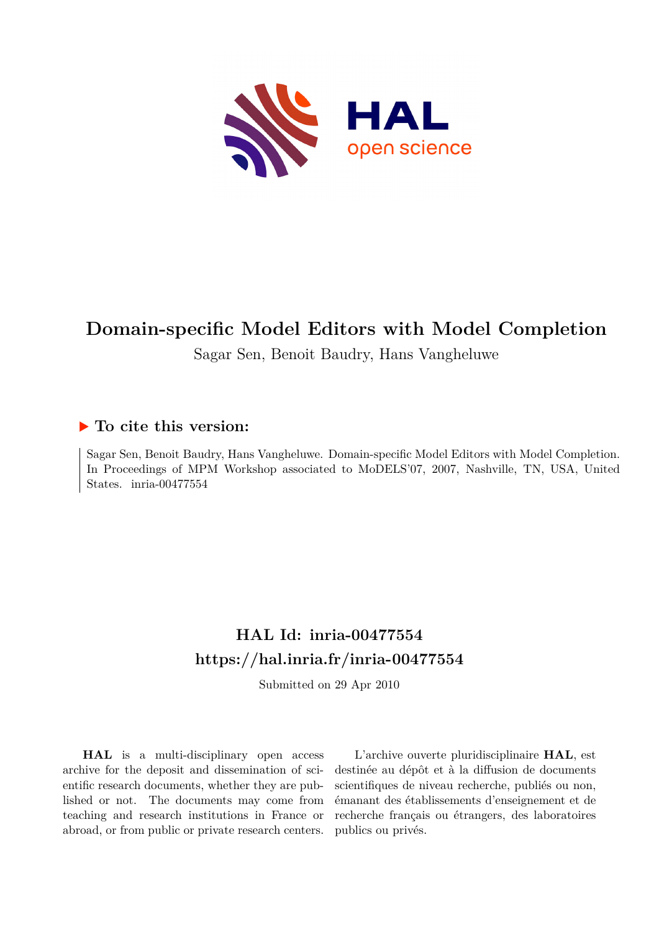

# **Domain-specific Model Editors with Model Completion**

Sagar Sen, Benoit Baudry, Hans Vangheluwe

# **To cite this version:**

Sagar Sen, Benoit Baudry, Hans Vangheluwe. Domain-specific Model Editors with Model Completion. In Proceedings of MPM Workshop associated to MoDELS'07, 2007, Nashville, TN, USA, United States. inria-00477554

# **HAL Id: inria-00477554 <https://hal.inria.fr/inria-00477554>**

Submitted on 29 Apr 2010

**HAL** is a multi-disciplinary open access archive for the deposit and dissemination of scientific research documents, whether they are published or not. The documents may come from teaching and research institutions in France or abroad, or from public or private research centers.

L'archive ouverte pluridisciplinaire **HAL**, est destinée au dépôt et à la diffusion de documents scientifiques de niveau recherche, publiés ou non, émanant des établissements d'enseignement et de recherche français ou étrangers, des laboratoires publics ou privés.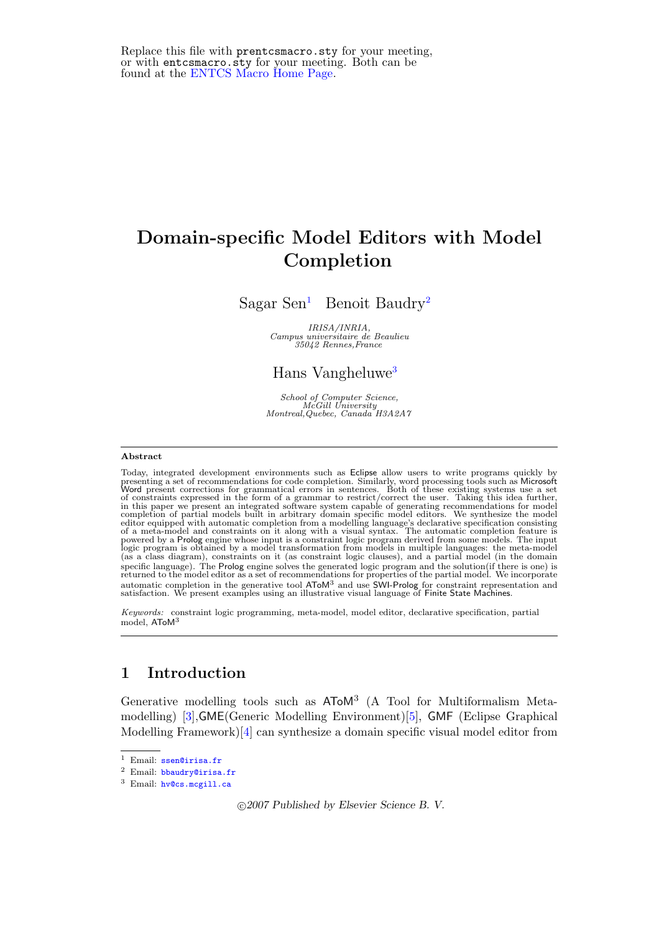# Domain-specific Model Editors with Model Completion

Sagar Sen<sup>[1](#page-3-0)</sup> Benoit Baudry<sup>[2](#page-3-0)</sup>

IRISA/INRIA, Campus universitaire de Beaulieu 35042 Rennes,France

## Hans Vangheluwe [3](#page-3-0)

School of Computer Science, McGill University Montreal,Quebec, Canada H3A2A7

#### Abstract

Today, integrated development environments such as Eclipse allow users to write programs quickly by presenting a set of recommendations for code completion. Similarly, word processing tools such as Microsoft<br>Word present corrections for grammatical errors in sentences. Both of these existing systems use a set<br>of constrai completion of partial models built in arbitrary domain specific model editors. We synthesize the model<br>editor equipped with automatic completion from a modelling language's declarative specification consisting<br>of a meta-mo specific language). The Prolog engine solves the generated logic program and the solution(if there is one) is returned to the model editor as a set of recommendations for properties of the partial model. We incorporate automatic completion in the generative tool AToM<sup>3</sup> and use SWI-Prolog for constraint representation and satisfaction. We present examples using an illustrative visual language of Finite State Machines.

Keywords: constraint logic programming, meta-model, model editor, declarative specification, partial model, AToM<sup>3</sup>

# 1 Introduction

Generative modelling tools such as  $A\text{ToM}^3$  (A Tool for Multiformalism Metamodelling) [\[3\]](#page-11-0),GME(Generic Modelling Environment)[\[5\]](#page-11-1), GMF (Eclipse Graphical Modelling Framework)[\[4\]](#page-11-2) can synthesize a domain specific visual model editor from

c 2007 Published by Elsevier Science B. V.

<sup>1</sup> Email: [ssen@irisa.fr](mailto:ssen@irisa.fr)

<sup>2</sup> Email: [bbaudry@irisa.fr](mailto:bbaudry@irisa.fr)

<sup>3</sup> Email: [hv@cs.mcgill.ca](mailto:hv@cs.mcgill.ca)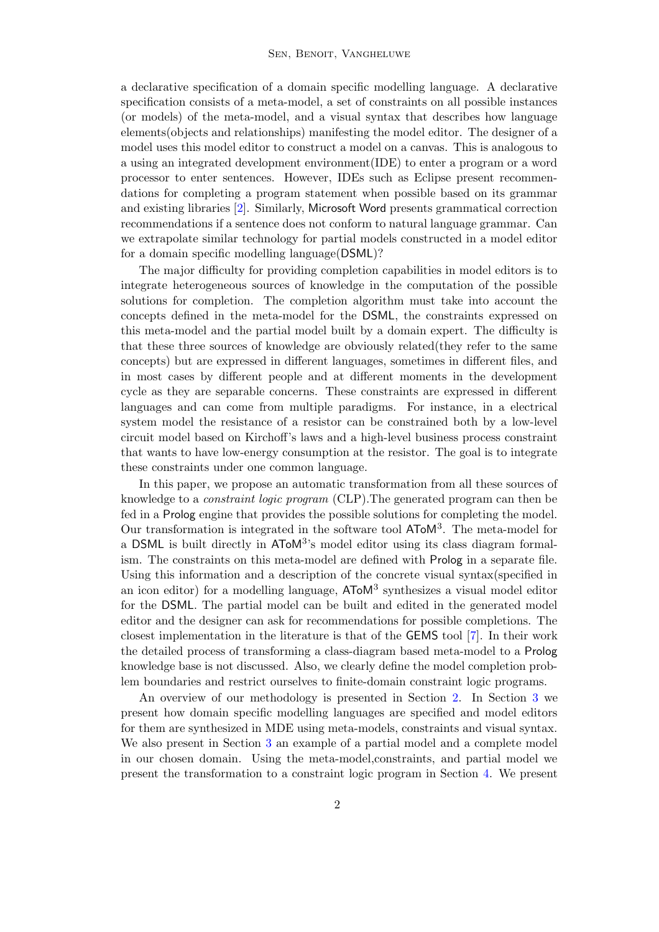a declarative specification of a domain specific modelling language. A declarative specification consists of a meta-model, a set of constraints on all possible instances (or models) of the meta-model, and a visual syntax that describes how language elements(objects and relationships) manifesting the model editor. The designer of a model uses this model editor to construct a model on a canvas. This is analogous to a using an integrated development environment(IDE) to enter a program or a word processor to enter sentences. However, IDEs such as Eclipse present recommendations for completing a program statement when possible based on its grammar and existing libraries [\[2\]](#page-11-3). Similarly, Microsoft Word presents grammatical correction recommendations if a sentence does not conform to natural language grammar. Can we extrapolate similar technology for partial models constructed in a model editor for a domain specific modelling language(DSML)?

The major difficulty for providing completion capabilities in model editors is to integrate heterogeneous sources of knowledge in the computation of the possible solutions for completion. The completion algorithm must take into account the concepts defined in the meta-model for the DSML, the constraints expressed on this meta-model and the partial model built by a domain expert. The difficulty is that these three sources of knowledge are obviously related(they refer to the same concepts) but are expressed in different languages, sometimes in different files, and in most cases by different people and at different moments in the development cycle as they are separable concerns. These constraints are expressed in different languages and can come from multiple paradigms. For instance, in a electrical system model the resistance of a resistor can be constrained both by a low-level circuit model based on Kirchoff's laws and a high-level business process constraint that wants to have low-energy consumption at the resistor. The goal is to integrate these constraints under one common language.

In this paper, we propose an automatic transformation from all these sources of knowledge to a constraint logic program (CLP).The generated program can then be fed in a Prolog engine that provides the possible solutions for completing the model. Our transformation is integrated in the software tool AToM<sup>3</sup>. The meta-model for a DSML is built directly in AToM<sup>3</sup>'s model editor using its class diagram formalism. The constraints on this meta-model are defined with Prolog in a separate file. Using this information and a description of the concrete visual syntax(specified in an icon editor) for a modelling language,  $A\text{ToM}^3$  synthesizes a visual model editor for the DSML. The partial model can be built and edited in the generated model editor and the designer can ask for recommendations for possible completions. The closest implementation in the literature is that of the GEMS tool [\[7\]](#page-11-4). In their work the detailed process of transforming a class-diagram based meta-model to a Prolog knowledge base is not discussed. Also, we clearly define the model completion problem boundaries and restrict ourselves to finite-domain constraint logic programs.

An overview of our methodology is presented in Section [2.](#page-3-1) In Section [3](#page-4-0) we present how domain specific modelling languages are specified and model editors for them are synthesized in MDE using meta-models, constraints and visual syntax. We also present in Section [3](#page-4-0) an example of a partial model and a complete model in our chosen domain. Using the meta-model,constraints, and partial model we present the transformation to a constraint logic program in Section [4.](#page-7-0) We present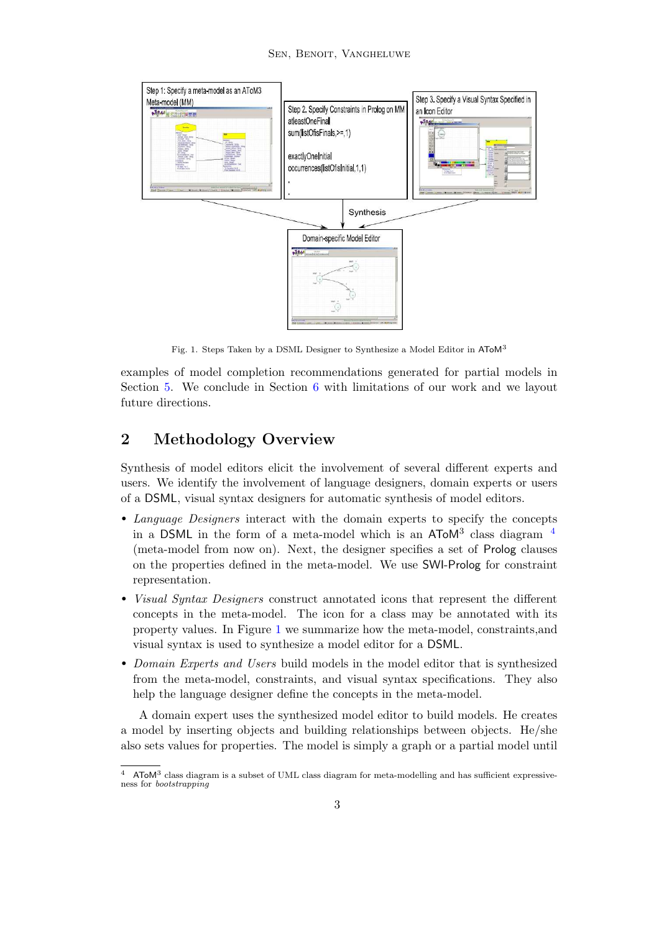

<span id="page-3-3"></span><span id="page-3-0"></span>Fig. 1. Steps Taken by a DSML Designer to Synthesize a Model Editor in AToM<sup>3</sup>

examples of model completion recommendations generated for partial models in Section [5.](#page-9-0) We conclude in Section [6](#page-9-1) with limitations of our work and we layout future directions.

## <span id="page-3-1"></span>2 Methodology Overview

Synthesis of model editors elicit the involvement of several different experts and users. We identify the involvement of language designers, domain experts or users of a DSML, visual syntax designers for automatic synthesis of model editors.

- Language Designers interact with the domain experts to specify the concepts in a DSML in the form of a meta-model which is an  $A$ ToM<sup>3</sup> class diagram  $4$ (meta-model from now on). Next, the designer specifies a set of Prolog clauses on the properties defined in the meta-model. We use SWI-Prolog for constraint representation.
- *Visual Syntax Designers* construct annotated icons that represent the different concepts in the meta-model. The icon for a class may be annotated with its property values. In Figure [1](#page-3-3) we summarize how the meta-model, constraints,and visual syntax is used to synthesize a model editor for a DSML.
- Domain Experts and Users build models in the model editor that is synthesized from the meta-model, constraints, and visual syntax specifications. They also help the language designer define the concepts in the meta-model.

A domain expert uses the synthesized model editor to build models. He creates a model by inserting objects and building relationships between objects. He/she also sets values for properties. The model is simply a graph or a partial model until

<span id="page-3-2"></span> $4$  AToM<sup>3</sup> class diagram is a subset of UML class diagram for meta-modelling and has sufficient expressiveness for bootstrapping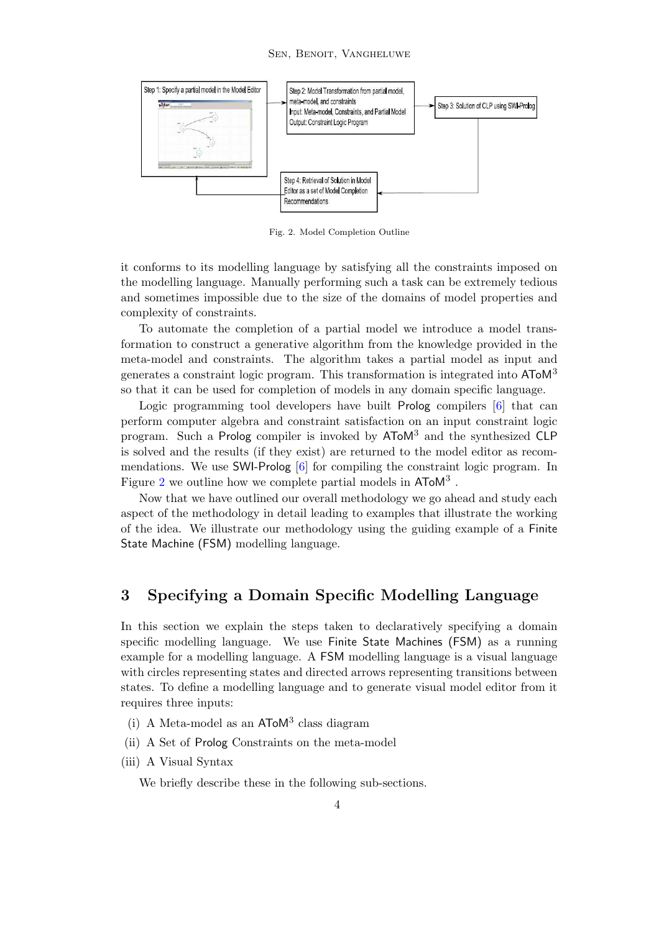

<span id="page-4-1"></span>Fig. 2. Model Completion Outline

it conforms to its modelling language by satisfying all the constraints imposed on the modelling language. Manually performing such a task can be extremely tedious and sometimes impossible due to the size of the domains of model properties and complexity of constraints.

To automate the completion of a partial model we introduce a model transformation to construct a generative algorithm from the knowledge provided in the meta-model and constraints. The algorithm takes a partial model as input and generates a constraint logic program. This transformation is integrated into AToM<sup>3</sup> so that it can be used for completion of models in any domain specific language.

Logic programming tool developers have built Prolog compilers [\[6\]](#page-11-5) that can perform computer algebra and constraint satisfaction on an input constraint logic program. Such a Prolog compiler is invoked by AToM<sup>3</sup> and the synthesized CLP is solved and the results (if they exist) are returned to the model editor as recommendations. We use SWI-Prolog  $[6]$  for compiling the constraint logic program. In Figure [2](#page-4-1) we outline how we complete partial models in  $A\text{ToM}^3$ .

Now that we have outlined our overall methodology we go ahead and study each aspect of the methodology in detail leading to examples that illustrate the working of the idea. We illustrate our methodology using the guiding example of a Finite State Machine (FSM) modelling language.

## <span id="page-4-0"></span>3 Specifying a Domain Specific Modelling Language

In this section we explain the steps taken to declaratively specifying a domain specific modelling language. We use Finite State Machines (FSM) as a running example for a modelling language. A FSM modelling language is a visual language with circles representing states and directed arrows representing transitions between states. To define a modelling language and to generate visual model editor from it requires three inputs:

- (i) A Meta-model as an AToM<sup>3</sup> class diagram
- (ii) A Set of Prolog Constraints on the meta-model
- (iii) A Visual Syntax

We briefly describe these in the following sub-sections.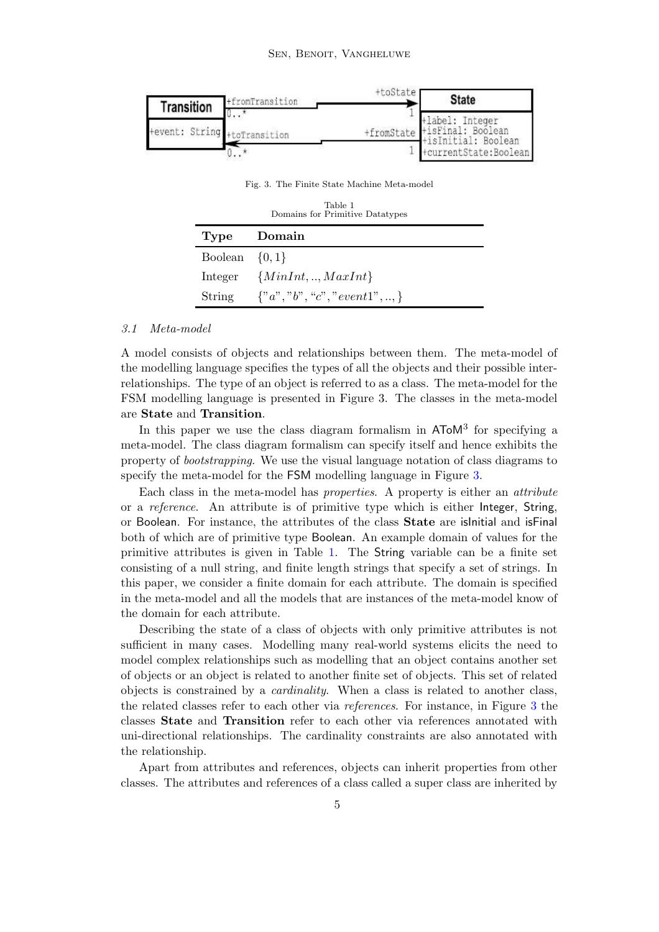

Fig. 3. The Finite State Machine Meta-model

<span id="page-5-1"></span><span id="page-5-0"></span>Table 1 Domains for Primitive Datatypes

|                   | Type Domain                            |
|-------------------|----------------------------------------|
| Boolean $\{0,1\}$ |                                        |
|                   | Integer $\{MinInt,,MaxInt\}$           |
| String            | $\{a^v, b^v, "c^v, "event1", \ldots\}$ |

#### 3.1 Meta-model

A model consists of objects and relationships between them. The meta-model of the modelling language specifies the types of all the objects and their possible interrelationships. The type of an object is referred to as a class. The meta-model for the FSM modelling language is presented in Figure 3. The classes in the meta-model are State and Transition.

In this paper we use the class diagram formalism in AToM<sup>3</sup> for specifying a meta-model. The class diagram formalism can specify itself and hence exhibits the property of bootstrapping. We use the visual language notation of class diagrams to specify the meta-model for the FSM modelling language in Figure [3.](#page-5-0)

Each class in the meta-model has properties. A property is either an attribute or a reference. An attribute is of primitive type which is either Integer, String, or Boolean. For instance, the attributes of the class State are isInitial and isFinal both of which are of primitive type Boolean. An example domain of values for the primitive attributes is given in Table [1.](#page-5-1) The String variable can be a finite set consisting of a null string, and finite length strings that specify a set of strings. In this paper, we consider a finite domain for each attribute. The domain is specified in the meta-model and all the models that are instances of the meta-model know of the domain for each attribute.

Describing the state of a class of objects with only primitive attributes is not sufficient in many cases. Modelling many real-world systems elicits the need to model complex relationships such as modelling that an object contains another set of objects or an object is related to another finite set of objects. This set of related objects is constrained by a cardinality. When a class is related to another class, the related classes refer to each other via references. For instance, in Figure [3](#page-5-0) the classes State and Transition refer to each other via references annotated with uni-directional relationships. The cardinality constraints are also annotated with the relationship.

Apart from attributes and references, objects can inherit properties from other classes. The attributes and references of a class called a super class are inherited by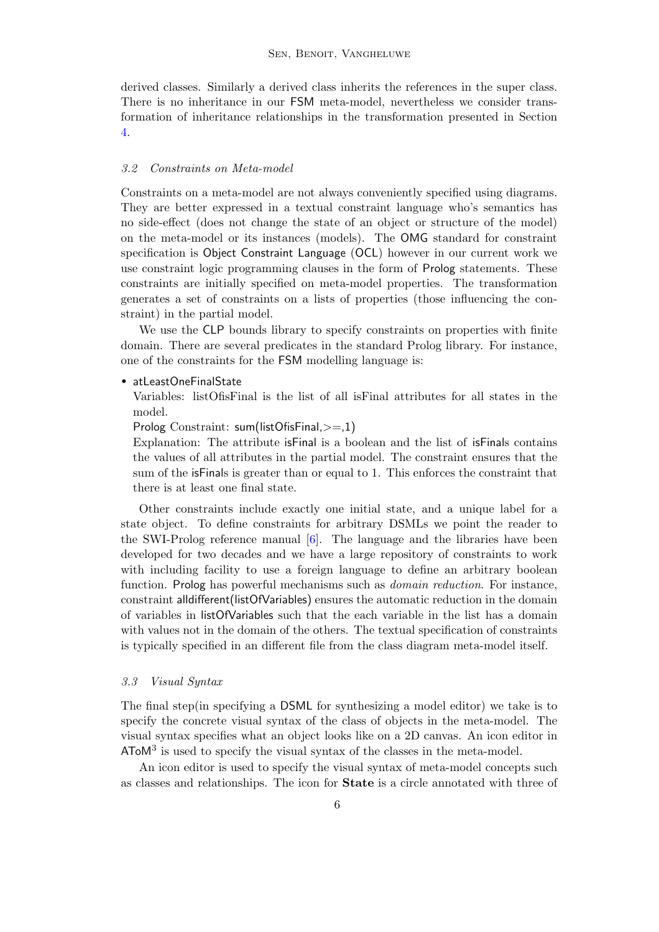derived classes. Similarly a derived class inherits the references in the super class. There is no inheritance in our FSM meta-model, nevertheless we consider transformation of inheritance relationships in the transformation presented in Section [4.](#page-7-0)

#### 3.2 Constraints on Meta-model

Constraints on a meta-model are not always conveniently specified using diagrams. They are better expressed in a textual constraint language who's semantics has no side-effect (does not change the state of an object or structure of the model) on the meta-model or its instances (models). The OMG standard for constraint specification is Object Constraint Language (OCL) however in our current work we use constraint logic programming clauses in the form of Prolog statements. These constraints are initially specified on meta-model properties. The transformation generates a set of constraints on a lists of properties (those influencing the constraint) in the partial model.

We use the CLP bounds library to specify constraints on properties with finite domain. There are several predicates in the standard Prolog library. For instance, one of the constraints for the FSM modelling language is:

#### • atLeastOneFinalState

Variables: listOfisFinal is the list of all isFinal attributes for all states in the model.

#### Prolog Constraint: sum(listOfisFinal, >=,1)

Explanation: The attribute isFinal is a boolean and the list of isFinals contains the values of all attributes in the partial model. The constraint ensures that the sum of the isFinals is greater than or equal to 1. This enforces the constraint that there is at least one final state.

Other constraints include exactly one initial state, and a unique label for a state object. To define constraints for arbitrary DSMLs we point the reader to the SWI-Prolog reference manual  $[6]$ . The language and the libraries have been developed for two decades and we have a large repository of constraints to work with including facility to use a foreign language to define an arbitrary boolean function. Prolog has powerful mechanisms such as domain reduction. For instance, constraint alldifferent(listOfVariables) ensures the automatic reduction in the domain of variables in listOfVariables such that the each variable in the list has a domain with values not in the domain of the others. The textual specification of constraints is typically specified in an different file from the class diagram meta-model itself.

#### 3.3 Visual Syntax

The final step(in specifying a DSML for synthesizing a model editor) we take is to specify the concrete visual syntax of the class of objects in the meta-model. The visual syntax specifies what an object looks like on a 2D canvas. An icon editor in AToM<sup>3</sup> is used to specify the visual syntax of the classes in the meta-model.

An icon editor is used to specify the visual syntax of meta-model concepts such as classes and relationships. The icon for State is a circle annotated with three of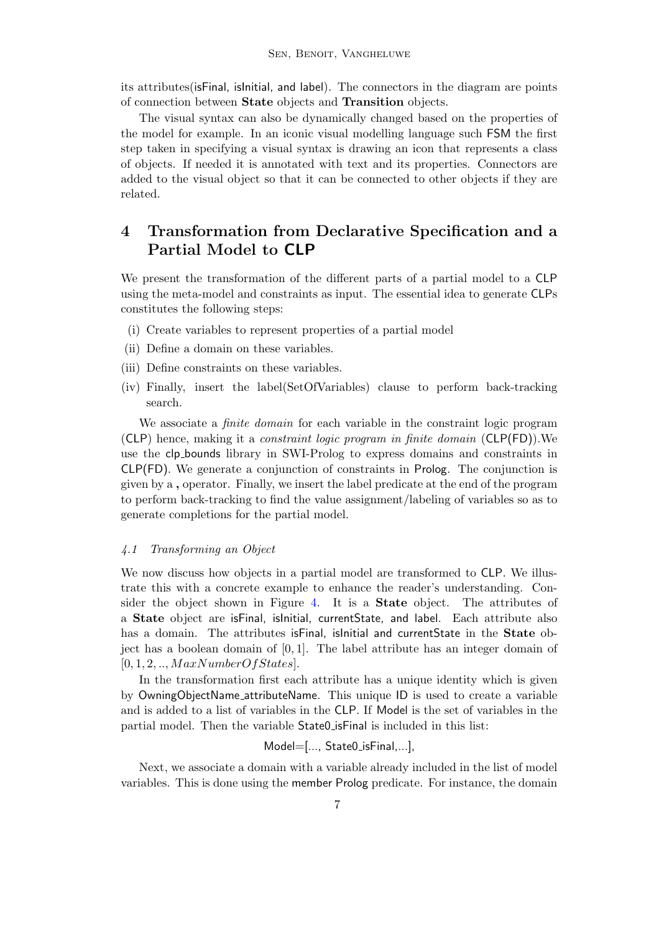its attributes(isFinal, isInitial, and label). The connectors in the diagram are points of connection between State objects and Transition objects.

The visual syntax can also be dynamically changed based on the properties of the model for example. In an iconic visual modelling language such FSM the first step taken in specifying a visual syntax is drawing an icon that represents a class of objects. If needed it is annotated with text and its properties. Connectors are added to the visual object so that it can be connected to other objects if they are related.

# <span id="page-7-0"></span>4 Transformation from Declarative Specification and a Partial Model to CLP

We present the transformation of the different parts of a partial model to a CLP using the meta-model and constraints as input. The essential idea to generate CLPs constitutes the following steps:

- (i) Create variables to represent properties of a partial model
- (ii) Define a domain on these variables.
- (iii) Define constraints on these variables.
- (iv) Finally, insert the label(SetOfVariables) clause to perform back-tracking search.

We associate a *finite domain* for each variable in the constraint logic program (CLP) hence, making it a constraint logic program in finite domain (CLP(FD)).We use the clp bounds library in SWI-Prolog to express domains and constraints in CLP(FD). We generate a conjunction of constraints in Prolog. The conjunction is given by a , operator. Finally, we insert the label predicate at the end of the program to perform back-tracking to find the value assignment/labeling of variables so as to generate completions for the partial model.

#### <span id="page-7-1"></span>4.1 Transforming an Object

We now discuss how objects in a partial model are transformed to CLP. We illustrate this with a concrete example to enhance the reader's understanding. Consider the object shown in Figure [4.](#page-8-0) It is a State object. The attributes of a State object are isFinal, isInitial, currentState, and label. Each attribute also has a domain. The attributes isFinal, islnitial and currentState in the State object has a boolean domain of [0, 1]. The label attribute has an integer domain of  $[0, 1, 2, \ldots$  MaxNumberOf States.

In the transformation first each attribute has a unique identity which is given by OwningObjectName attributeName. This unique ID is used to create a variable and is added to a list of variables in the CLP. If Model is the set of variables in the partial model. Then the variable State0 isFinal is included in this list:

Model=[..., State0\_isFinal,...],

Next, we associate a domain with a variable already included in the list of model variables. This is done using the member Prolog predicate. For instance, the domain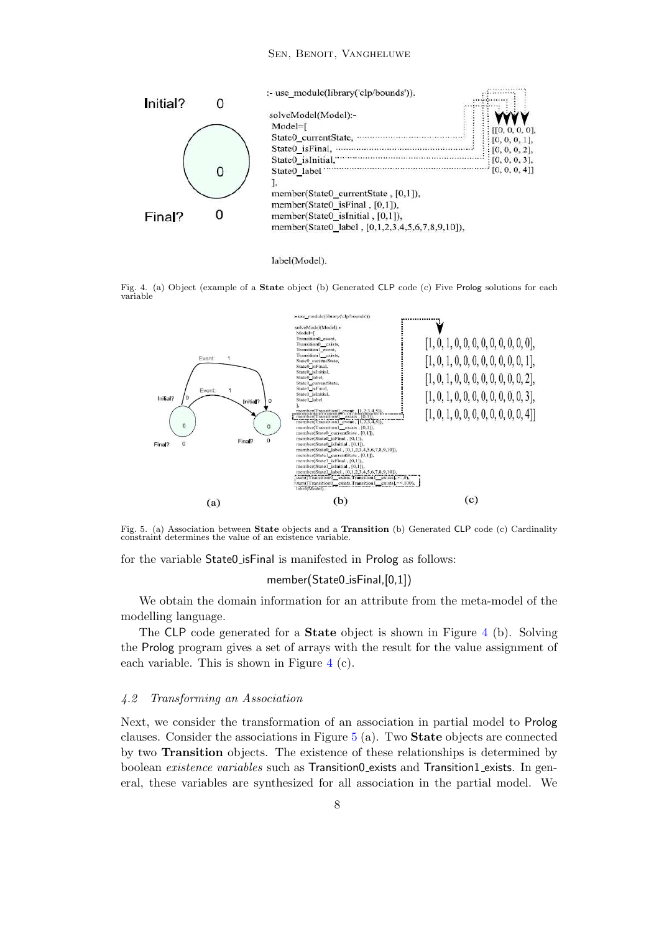

#### label(Model).

Fig. 4. (a) Object (example of a State object (b) Generated CLP code (c) Five Prolog solutions for each variable

<span id="page-8-0"></span>

<span id="page-8-1"></span>Fig. 5. (a) Association between State objects and a Transition (b) Generated CLP code (c) Cardinality constraint determines the value of an existence variable.

for the variable State0 isFinal is manifested in Prolog as follows:

#### member(State0\_isFinal,[0,1])

We obtain the domain information for an attribute from the meta-model of the modelling language.

The CLP code generated for a State object is shown in Figure [4](#page-8-0) (b). Solving the Prolog program gives a set of arrays with the result for the value assignment of each variable. This is shown in Figure [4](#page-8-0) (c).

#### <span id="page-8-2"></span>4.2 Transforming an Association

Next, we consider the transformation of an association in partial model to Prolog clauses. Consider the associations in Figure [5](#page-8-1) (a). Two State objects are connected by two Transition objects. The existence of these relationships is determined by boolean existence variables such as Transition0 exists and Transition1 exists. In general, these variables are synthesized for all association in the partial model. We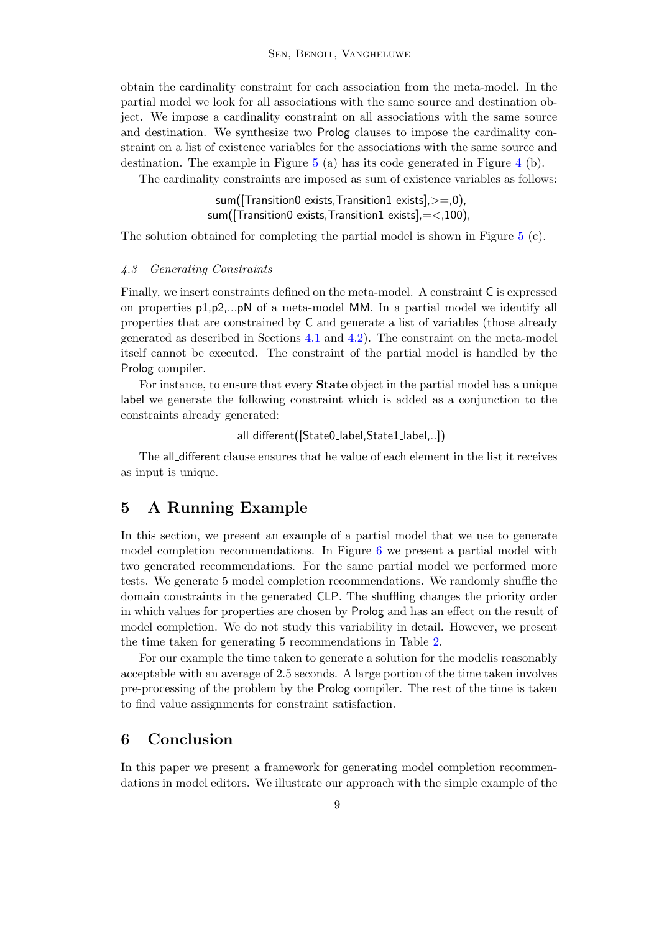obtain the cardinality constraint for each association from the meta-model. In the partial model we look for all associations with the same source and destination object. We impose a cardinality constraint on all associations with the same source and destination. We synthesize two Prolog clauses to impose the cardinality constraint on a list of existence variables for the associations with the same source and destination. The example in Figure [5](#page-8-1) (a) has its code generated in Figure [4](#page-8-0) (b).

The cardinality constraints are imposed as sum of existence variables as follows:

sum( $[Transition0 exists, Transition1 exists]$ , $> = 0$ ), sum( $[Transition0 exists, Transition1 exists]$ ,  $=<,100$ ),

The solution obtained for completing the partial model is shown in Figure  $5(c)$  $5(c)$ .

#### 4.3 Generating Constraints

Finally, we insert constraints defined on the meta-model. A constraint C is expressed on properties p1,p2,...pN of a meta-model MM. In a partial model we identify all properties that are constrained by C and generate a list of variables (those already generated as described in Sections [4.1](#page-7-1) and [4.2\)](#page-8-2). The constraint on the meta-model itself cannot be executed. The constraint of the partial model is handled by the Prolog compiler.

For instance, to ensure that every State object in the partial model has a unique label we generate the following constraint which is added as a conjunction to the constraints already generated:

```
all different([State0 label,State1 label,..])
```
The all different clause ensures that he value of each element in the list it receives as input is unique.

### <span id="page-9-0"></span>5 A Running Example

In this section, we present an example of a partial model that we use to generate model completion recommendations. In Figure [6](#page-10-0) we present a partial model with two generated recommendations. For the same partial model we performed more tests. We generate 5 model completion recommendations. We randomly shuffle the domain constraints in the generated CLP. The shuffling changes the priority order in which values for properties are chosen by Prolog and has an effect on the result of model completion. We do not study this variability in detail. However, we present the time taken for generating 5 recommendations in Table [2.](#page-10-1)

For our example the time taken to generate a solution for the modelis reasonably acceptable with an average of 2.5 seconds. A large portion of the time taken involves pre-processing of the problem by the Prolog compiler. The rest of the time is taken to find value assignments for constraint satisfaction.

### <span id="page-9-1"></span>6 Conclusion

In this paper we present a framework for generating model completion recommendations in model editors. We illustrate our approach with the simple example of the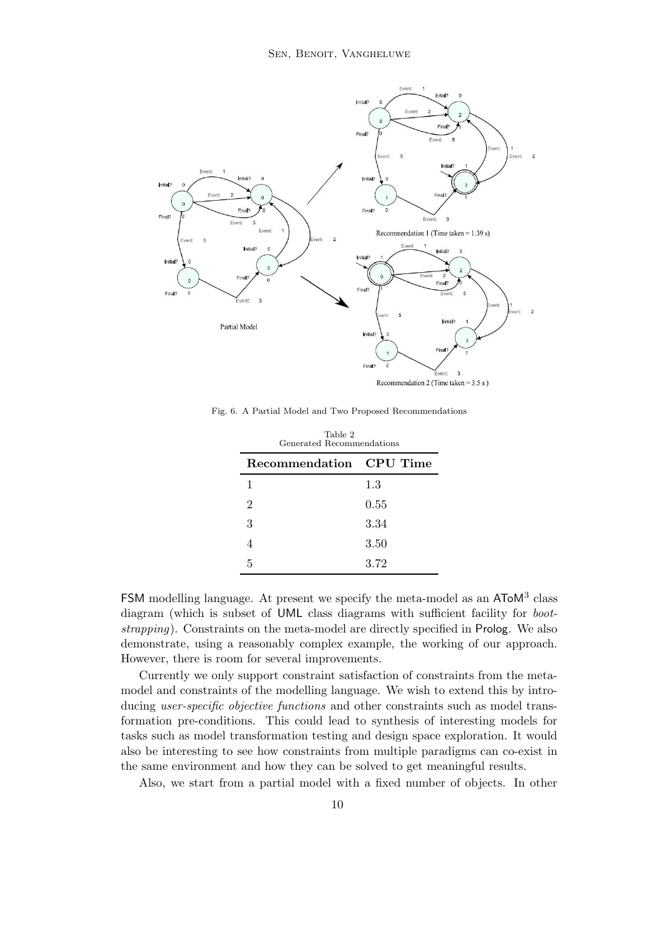

Fig. 6. A Partial Model and Two Proposed Recommendations

<span id="page-10-1"></span><span id="page-10-0"></span>

| Table 2<br>Generated Recommendations |         |  |
|--------------------------------------|---------|--|
| Recommendation CPU Time              |         |  |
| 1                                    | $1.3\,$ |  |
| $\overline{2}$                       | 0.55    |  |
| 3                                    | 3.34    |  |
|                                      | 3.50    |  |
| 5                                    | 3.72    |  |

FSM modelling language. At present we specify the meta-model as an AToM<sup>3</sup> class diagram (which is subset of UML class diagrams with sufficient facility for bootstrapping). Constraints on the meta-model are directly specified in Prolog. We also demonstrate, using a reasonably complex example, the working of our approach. However, there is room for several improvements.

Currently we only support constraint satisfaction of constraints from the metamodel and constraints of the modelling language. We wish to extend this by introducing *user-specific objective functions* and other constraints such as model transformation pre-conditions. This could lead to synthesis of interesting models for tasks such as model transformation testing and design space exploration. It would also be interesting to see how constraints from multiple paradigms can co-exist in the same environment and how they can be solved to get meaningful results.

Also, we start from a partial model with a fixed number of objects. In other